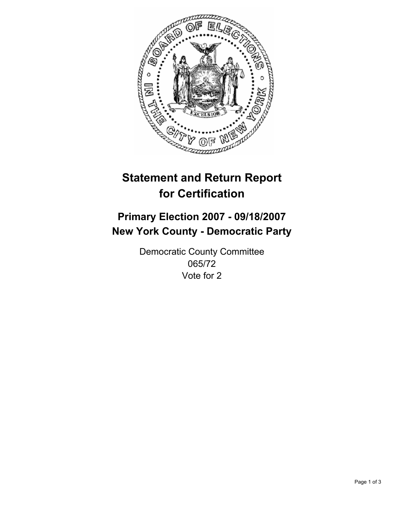

# **Statement and Return Report for Certification**

## **Primary Election 2007 - 09/18/2007 New York County - Democratic Party**

Democratic County Committee 065/72 Vote for 2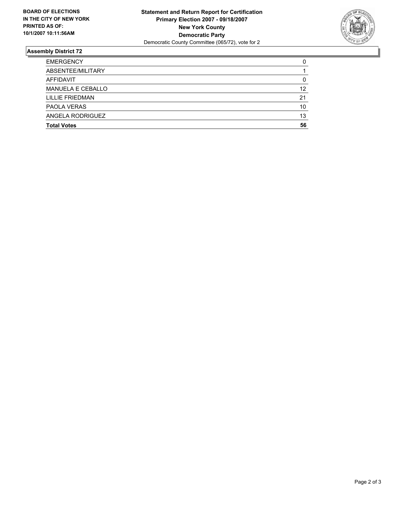

### **Assembly District 72**

| <b>EMERGENCY</b>   |    |
|--------------------|----|
| ABSENTEE/MILITARY  |    |
| AFFIDAVIT          |    |
| MANUELA E CEBALLO  | 12 |
| LILLIE FRIEDMAN    | 21 |
| PAOLA VERAS        | 10 |
| ANGELA RODRIGUEZ   | 13 |
| <b>Total Votes</b> | 56 |